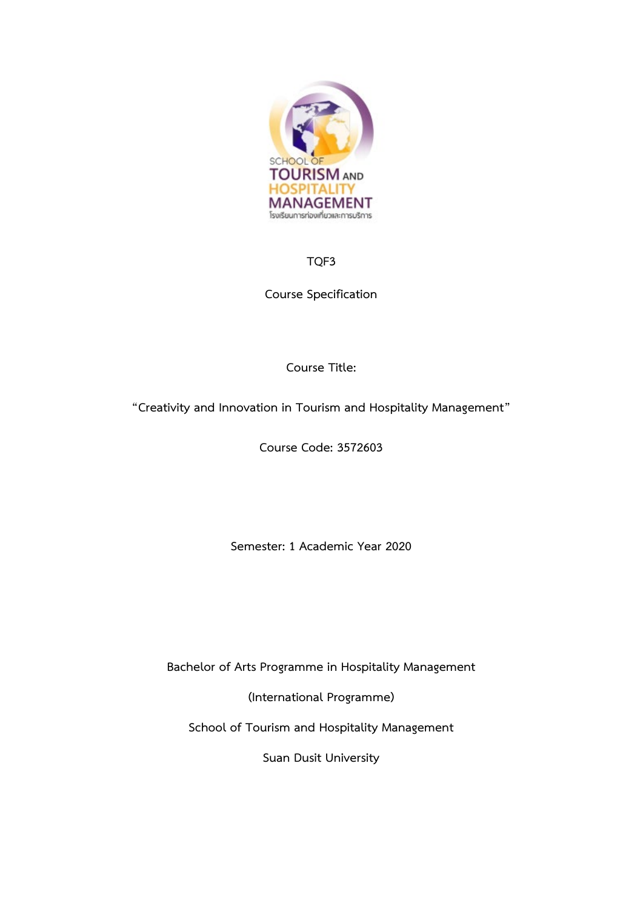

# **TQF3**

**Course Specification**

# **Course Title:**

**"Creativity and Innovation in Tourism and Hospitality Management"**

**Course Code: 3572603**

**Semester: 1 Academic Year 2020**

**Bachelor of Arts Programme in Hospitality Management**

**(International Programme)**

**School of Tourism and Hospitality Management**

**Suan Dusit University**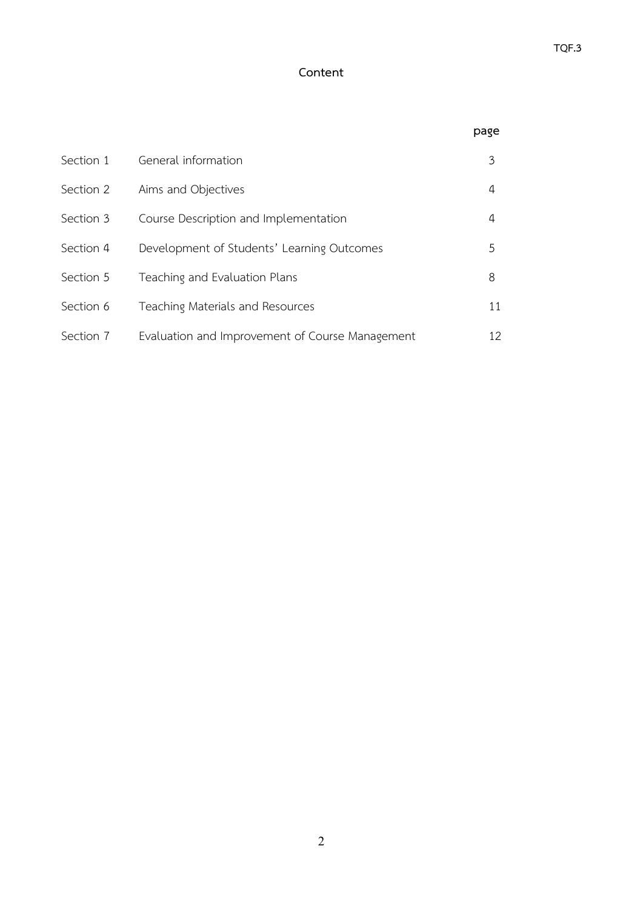# **Content**

|           |                                                 | page |
|-----------|-------------------------------------------------|------|
| Section 1 | General information                             | 3    |
| Section 2 | Aims and Objectives                             | 4    |
| Section 3 | Course Description and Implementation           | 4    |
| Section 4 | Development of Students' Learning Outcomes      | 5.   |
| Section 5 | Teaching and Evaluation Plans                   | 8    |
| Section 6 | Teaching Materials and Resources                | 11   |
| Section 7 | Evaluation and Improvement of Course Management | 12   |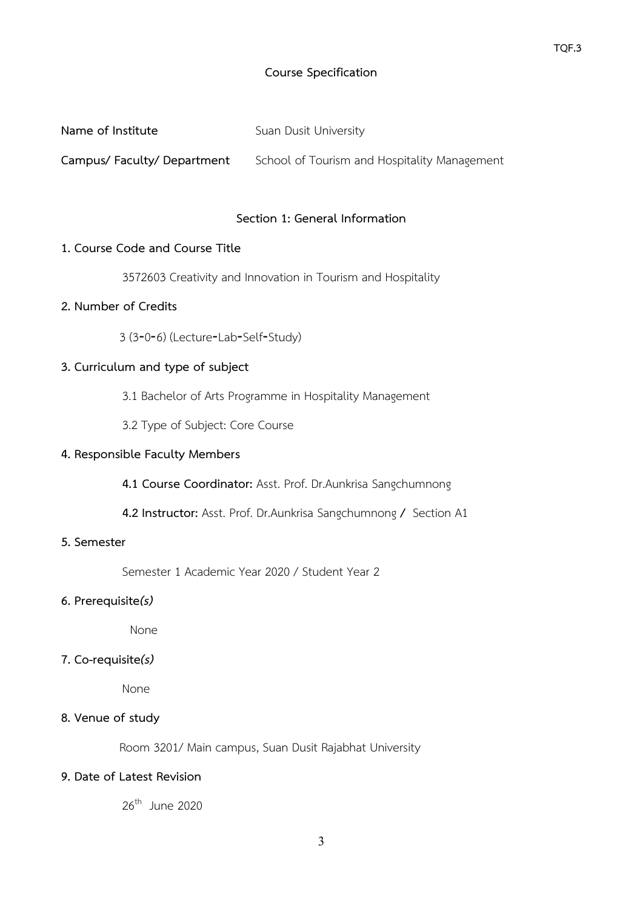## **Course Specification**

| Name of Institute         | Suan Dusit University                        |
|---------------------------|----------------------------------------------|
| Campus/Faculty/Department | School of Tourism and Hospitality Management |

### **Section 1: General Information**

#### **1. Course Code and Course Title**

3572603 Creativity and Innovation in Tourism and Hospitality

## **2. Number of Credits**

3 (3‐0‐6) (Lecture‐Lab‐Self‐Study)

## **3. Curriculum and type of subject**

- 3.1 Bachelor of Arts Programme in Hospitality Management
- 3.2 Type of Subject: Core Course

### **4. Responsible Faculty Members**

**4.1 Course Coordinator:** Asst. Prof. Dr.Aunkrisa Sangchumnong

**4.2 Instructor:** Asst. Prof. Dr.Aunkrisa Sangchumnong **/** Section A1

## **5. Semester**

Semester 1 Academic Year 2020 / Student Year 2

### **6. Prerequisite***(s)*

None

## **7. Co-requisite***(s)*

None

#### **8. Venue of study**

Room 3201/ Main campus, Suan Dusit Rajabhat University

## **9. Date of Latest Revision**

 $26<sup>th</sup>$  June 2020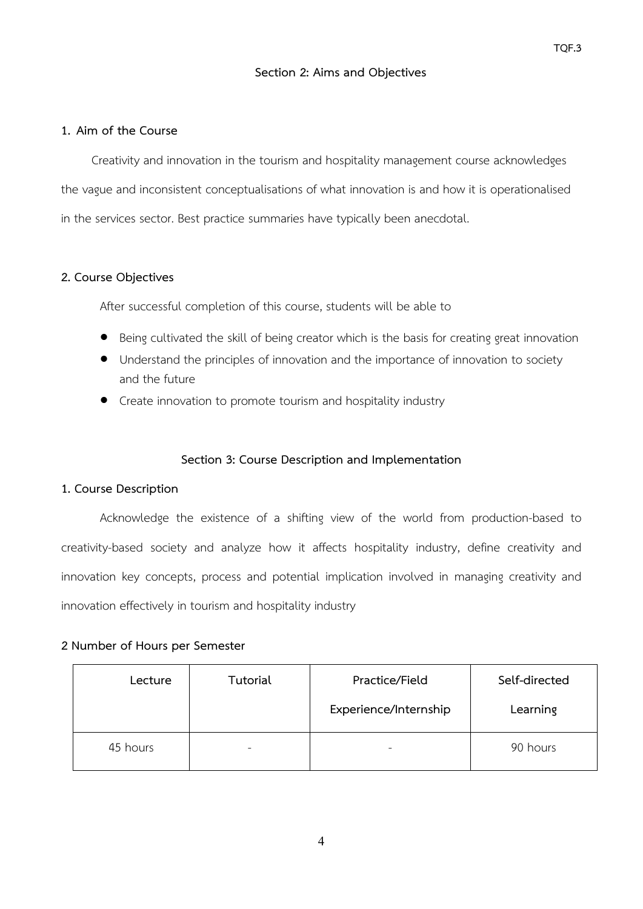### **Section 2: Aims and Objectives**

#### **1. Aim of the Course**

Creativity and innovation in the tourism and hospitality management course acknowledges the vague and inconsistent conceptualisations of what innovation is and how it is operationalised in the services sector. Best practice summaries have typically been anecdotal.

#### **2. Course Objectives**

After successful completion of this course, students will be able to

- Being cultivated the skill of being creator which is the basis for creating great innovation
- Understand the principles of innovation and the importance of innovation to society and the future
- Create innovation to promote tourism and hospitality industry

#### **Section 3: Course Description and Implementation**

#### **1. Course Description**

Acknowledge the existence of a shifting view of the world from production-based to creativity-based society and analyze how it affects hospitality industry, define creativity and innovation key concepts, process and potential implication involved in managing creativity and innovation effectively in tourism and hospitality industry

#### **2 Number of Hours per Semester**

| Lecture  | Tutorial | Practice/Field        | Self-directed |
|----------|----------|-----------------------|---------------|
|          |          | Experience/Internship | Learning      |
| 45 hours | -        | -                     | 90 hours      |

4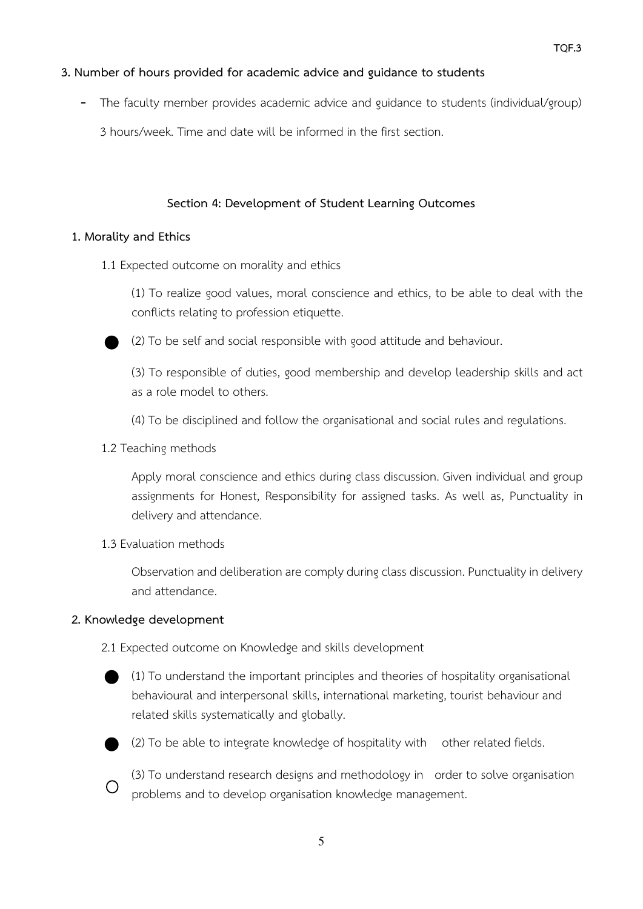## **3. Number of hours provided for academic advice and guidance to students**

- The faculty member provides academic advice and guidance to students (individual/group)

3 hours/week. Time and date will be informed in the first section.

## **Section 4: Development of Student Learning Outcomes**

## **1. Morality and Ethics**

1.1 Expected outcome on morality and ethics

(1) To realize good values, moral conscience and ethics, to be able to deal with the conflicts relating to profession etiquette.

⬤ (2) To be self and social responsible with good attitude and behaviour.

(3) To responsible of duties, good membership and develop leadership skills and act as a role model to others.

(4) To be disciplined and follow the organisational and social rules and regulations.

1.2 Teaching methods

Apply moral conscience and ethics during class discussion. Given individual and group assignments for Honest, Responsibility for assigned tasks. As well as, Punctuality in delivery and attendance.

1.3 Evaluation methods

Observation and deliberation are comply during class discussion. Punctuality in delivery and attendance.

## **2. Knowledge development**

2.1 Expected outcome on Knowledge and skills development

⬤ (1) To understand the important principles and theories of hospitality organisational behavioural and interpersonal skills, international marketing, tourist behaviour and related skills systematically and globally.



⬤ (2) To be able to integrate knowledge of hospitality with other related fields.



(3) To understand research designs and methodology in order to solve organisation problems and to develop organisation knowledge management.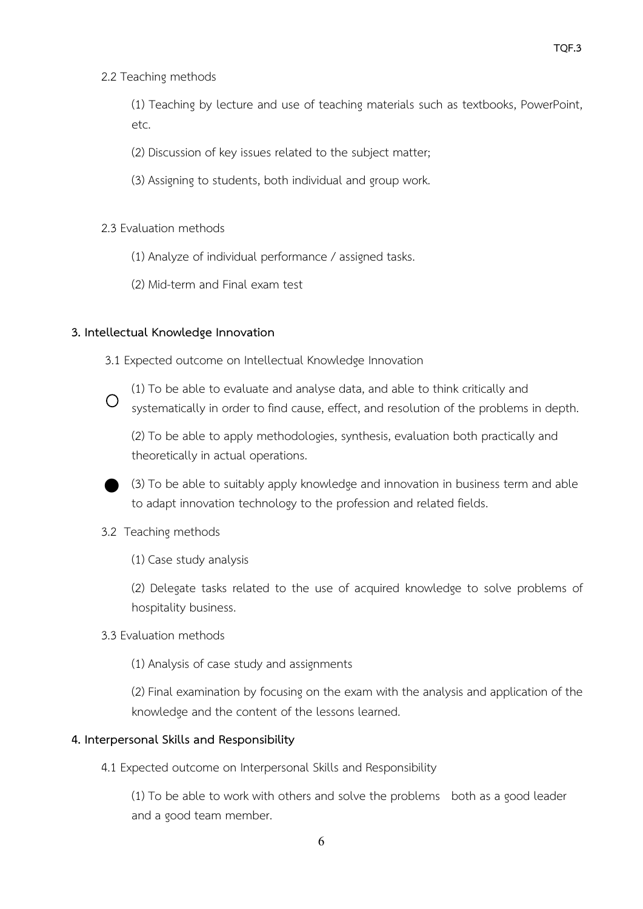2.2 Teaching methods

(1) Teaching by lecture and use of teaching materials such as textbooks, PowerPoint, etc.

- (2) Discussion of key issues related to the subject matter;
- (3) Assigning to students, both individual and group work.
- 2.3 Evaluation methods
	- (1) Analyze of individual performance / assigned tasks.
	- (2) Mid-term and Final exam test

## **3. Intellectual Knowledge Innovation**

- 3.1 Expected outcome on Intellectual Knowledge Innovation
- $\bigcirc$

(1) To be able to evaluate and analyse data, and able to think critically and systematically in order to find cause, effect, and resolution of the problems in depth.

(2) To be able to apply methodologies, synthesis, evaluation both practically and theoretically in actual operations.

⬤ (3) To be able to suitably apply knowledge and innovation in business term and able to adapt innovation technology to the profession and related fields.

- 3.2 Teaching methods
	- (1) Case study analysis

(2) Delegate tasks related to the use of acquired knowledge to solve problems of hospitality business.

3.3 Evaluation methods

(1) Analysis of case study and assignments

(2) Final examination by focusing on the exam with the analysis and application of the knowledge and the content of the lessons learned.

#### **4. Interpersonal Skills and Responsibility**

4.1 Expected outcome on Interpersonal Skills and Responsibility

(1) To be able to work with others and solve the problems both as a good leader and a good team member.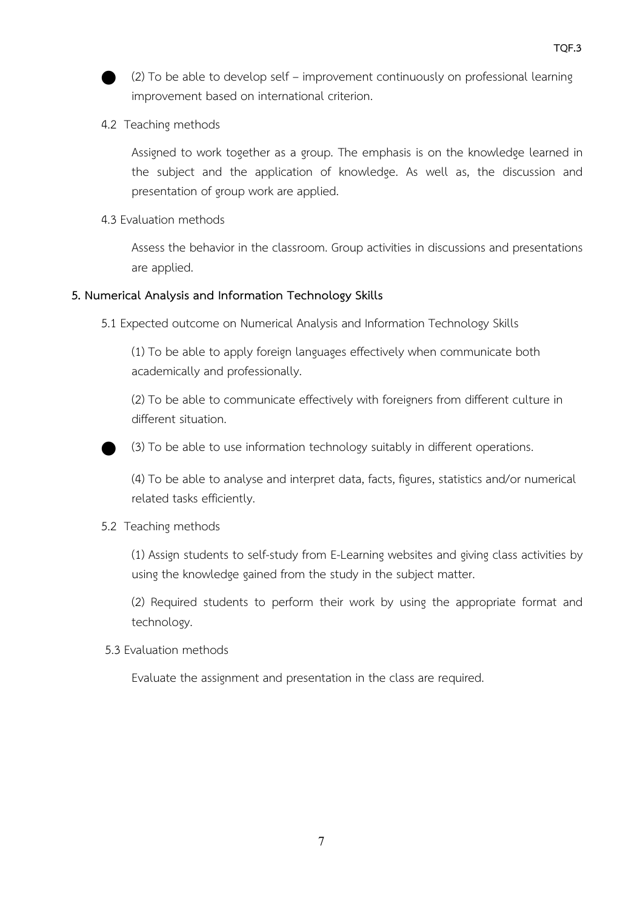

- ⬤ (2) To be able to develop self improvement continuously on professional learning improvement based on international criterion.
- 4.2 Teaching methods

Assigned to work together as a group. The emphasis is on the knowledge learned in the subject and the application of knowledge. As well as, the discussion and presentation of group work are applied.

4.3 Evaluation methods

Assess the behavior in the classroom. Group activities in discussions and presentations are applied.

## **5. Numerical Analysis and Information Technology Skills**

5.1 Expected outcome on Numerical Analysis and Information Technology Skills

(1) To be able to apply foreign languages effectively when communicate both academically and professionally.

(2) To be able to communicate effectively with foreigners from different culture in different situation.



⬤ (3) To be able to use information technology suitably in different operations.

(4) To be able to analyse and interpret data, facts, figures, statistics and/or numerical related tasks efficiently.

## 5.2 Teaching methods

(1) Assign students to self-study from E-Learning websites and giving class activities by using the knowledge gained from the study in the subject matter.

(2) Required students to perform their work by using the appropriate format and technology.

5.3 Evaluation methods

Evaluate the assignment and presentation in the class are required.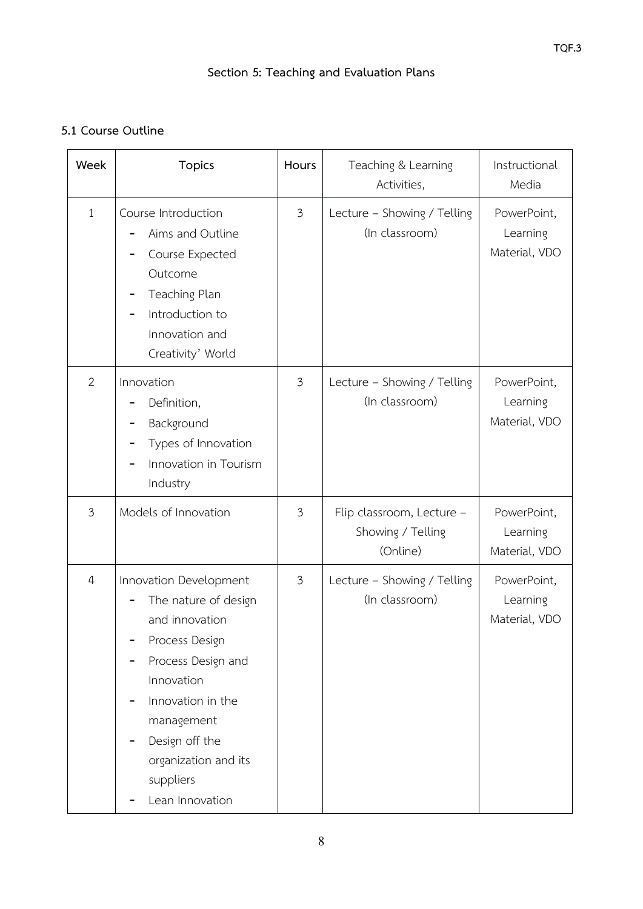# **Section 5: Teaching and Evaluation Plans**

# **5.1 Course Outline**

| Week                                                                                                                  | <b>Topics</b>                                                                                                                                                                                                                       | Hours          | Teaching & Learning<br>Activities,                         | Instructional<br>Media                   |
|-----------------------------------------------------------------------------------------------------------------------|-------------------------------------------------------------------------------------------------------------------------------------------------------------------------------------------------------------------------------------|----------------|------------------------------------------------------------|------------------------------------------|
| $\mathbf{1}$                                                                                                          | Course Introduction<br>Aims and Outline<br>Course Expected<br>Outcome<br>Teaching Plan<br>Introduction to<br>Innovation and<br>Creativity' World                                                                                    | 3              | Lecture - Showing / Telling<br>(In classroom)              | PowerPoint,<br>Learning<br>Material, VDO |
| $\overline{2}$<br>Innovation<br>Definition,<br>Background<br>Types of Innovation<br>Innovation in Tourism<br>Industry |                                                                                                                                                                                                                                     | 3              | Lecture - Showing / Telling<br>(In classroom)              | PowerPoint,<br>Learning<br>Material, VDO |
| 3                                                                                                                     | Models of Innovation                                                                                                                                                                                                                | $\mathfrak{Z}$ | Flip classroom, Lecture -<br>Showing / Telling<br>(Online) | PowerPoint,<br>Learning<br>Material, VDO |
| $\overline{4}$                                                                                                        | Innovation Development<br>The nature of design<br>and innovation<br>Process Design<br>Process Design and<br>Innovation<br>Innovation in the<br>management<br>Design off the<br>organization and its<br>suppliers<br>Lean Innovation | $\mathfrak{Z}$ | Lecture - Showing / Telling<br>(In classroom)              | PowerPoint,<br>Learning<br>Material, VDO |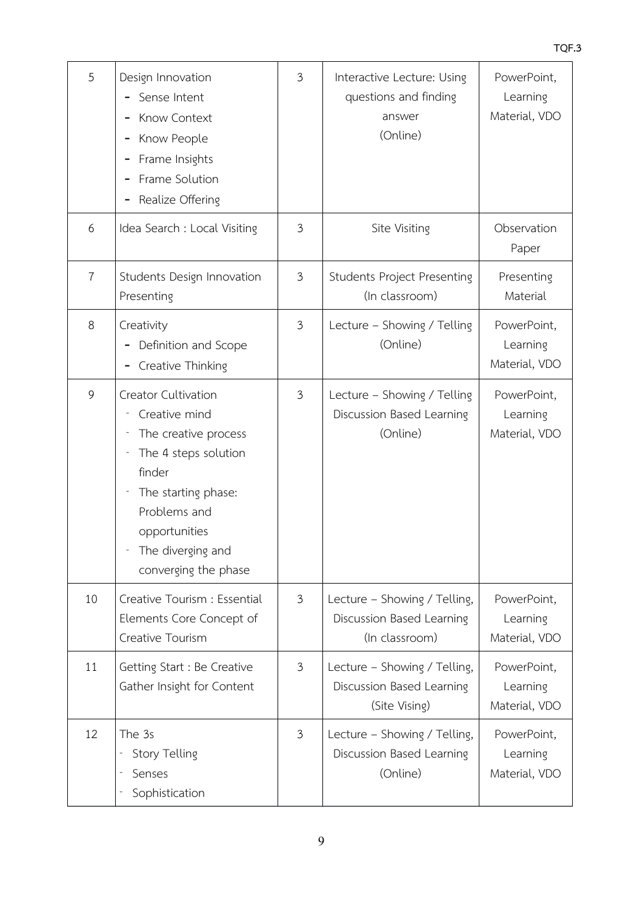| 5              | Design Innovation<br>Sense Intent<br>Know Context<br>Know People<br>Frame Insights<br>Frame Solution<br>Realize Offering                                                                            | 3              | Interactive Lecture: Using<br>questions and finding<br>answer<br>(Online)   | PowerPoint,<br>Learning<br>Material, VDO |
|----------------|-----------------------------------------------------------------------------------------------------------------------------------------------------------------------------------------------------|----------------|-----------------------------------------------------------------------------|------------------------------------------|
| 6              | Idea Search : Local Visiting                                                                                                                                                                        | 3              | Site Visiting                                                               | Observation<br>Paper                     |
| $\overline{7}$ | Students Design Innovation<br>Presenting                                                                                                                                                            | $\mathfrak{Z}$ | <b>Students Project Presenting</b><br>(In classroom)                        | Presenting<br>Material                   |
| 8              | Creativity<br>Definition and Scope<br>Creative Thinking                                                                                                                                             | $\mathfrak{Z}$ | Lecture - Showing / Telling<br>(Online)                                     | PowerPoint,<br>Learning<br>Material, VDO |
| 9              | Creator Cultivation<br>Creative mind<br>The creative process<br>The 4 steps solution<br>finder<br>The starting phase:<br>Problems and<br>opportunities<br>The diverging and<br>converging the phase | 3              | Lecture - Showing / Telling<br>Discussion Based Learning<br>(Online)        | PowerPoint,<br>Learning<br>Material, VDO |
| 10             | Creative Tourism : Essential<br>Elements Core Concept of<br>Creative Tourism                                                                                                                        | $\mathfrak{Z}$ | Lecture - Showing / Telling,<br>Discussion Based Learning<br>(In classroom) | PowerPoint,<br>Learning<br>Material, VDO |
| 11             | Getting Start : Be Creative<br>Gather Insight for Content                                                                                                                                           | 3              | Lecture - Showing / Telling,<br>Discussion Based Learning<br>(Site Vising)  | PowerPoint,<br>Learning<br>Material, VDO |
| 12             | The 3s<br>Story Telling<br>Senses<br>Sophistication                                                                                                                                                 | $\mathfrak{Z}$ | Lecture - Showing / Telling,<br>Discussion Based Learning<br>(Online)       | PowerPoint,<br>Learning<br>Material, VDO |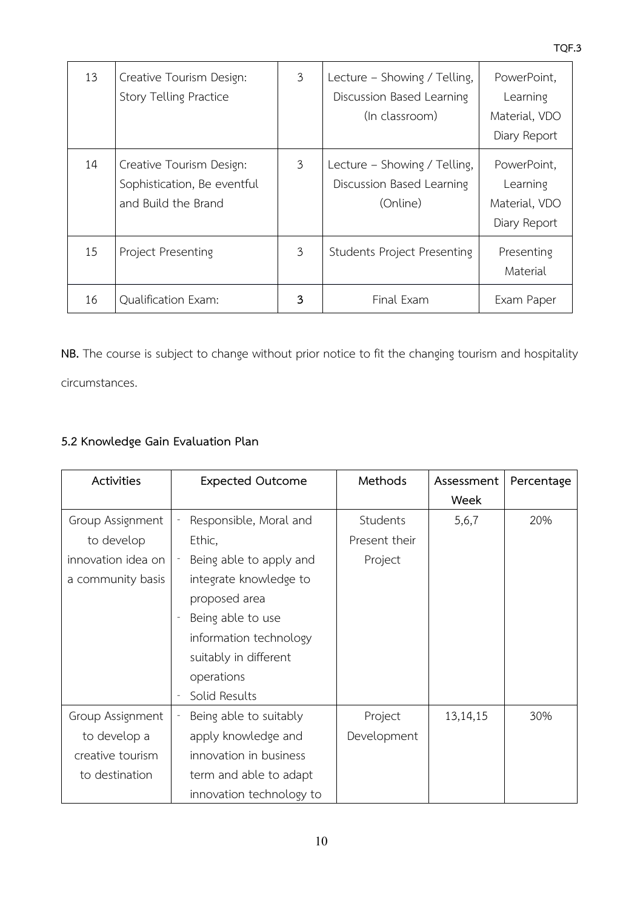| 13 | Creative Tourism Design:<br>Story Telling Practice                             | 3 | Lecture - Showing / Telling,<br>Discussion Based Learning<br>(In classroom) | PowerPoint,<br>Learning<br>Material, VDO<br>Diary Report |
|----|--------------------------------------------------------------------------------|---|-----------------------------------------------------------------------------|----------------------------------------------------------|
| 14 | Creative Tourism Design:<br>Sophistication, Be eventful<br>and Build the Brand | 3 | Lecture - Showing / Telling,<br>Discussion Based Learning<br>(Online)       | PowerPoint,<br>Learning<br>Material, VDO<br>Diary Report |
| 15 | Project Presenting                                                             | 3 | <b>Students Project Presenting</b>                                          | Presenting<br>Material                                   |
| 16 | <b>Qualification Exam:</b>                                                     | 3 | Final Exam                                                                  | Exam Paper                                               |

**NB.** The course is subject to change without prior notice to fit the changing tourism and hospitality circumstances.

# **5.2 Knowledge Gain Evaluation Plan**

| Activities         | <b>Expected Outcome</b>  | Methods       | Assessment | Percentage |
|--------------------|--------------------------|---------------|------------|------------|
|                    |                          |               | Week       |            |
| Group Assignment   | Responsible, Moral and   | Students      | 5,6,7      | 20%        |
| to develop         | Ethic,                   | Present their |            |            |
| innovation idea on | Being able to apply and  | Project       |            |            |
| a community basis  | integrate knowledge to   |               |            |            |
|                    | proposed area            |               |            |            |
|                    | Being able to use        |               |            |            |
|                    | information technology   |               |            |            |
|                    | suitably in different    |               |            |            |
|                    | operations               |               |            |            |
|                    | Solid Results            |               |            |            |
| Group Assignment   | Being able to suitably   | Project       | 13, 14, 15 | 30%        |
| to develop a       | apply knowledge and      | Development   |            |            |
| creative tourism   | innovation in business   |               |            |            |
| to destination     | term and able to adapt   |               |            |            |
|                    | innovation technology to |               |            |            |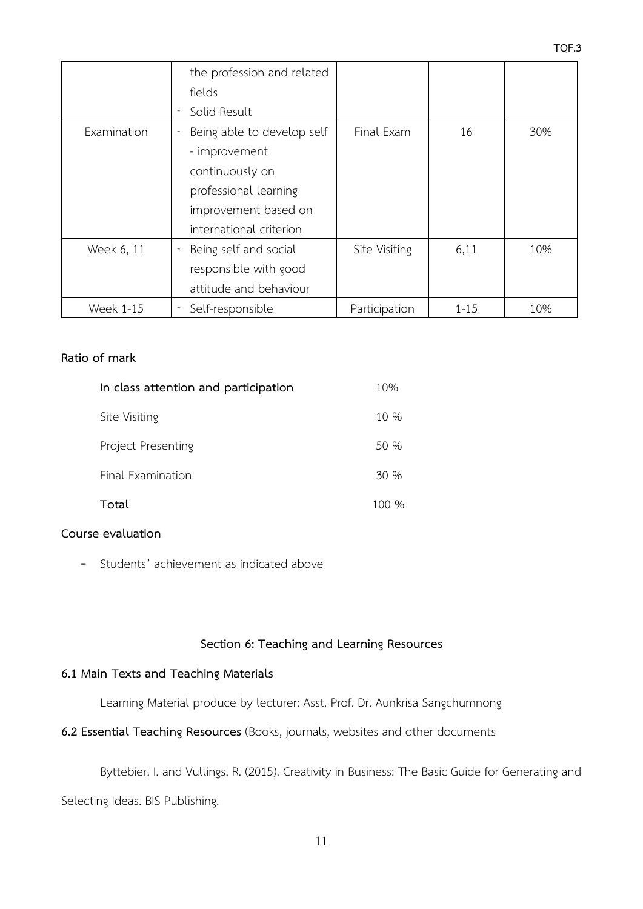|                  | the profession and related |               |          |     |
|------------------|----------------------------|---------------|----------|-----|
|                  | fields                     |               |          |     |
|                  | Solid Result               |               |          |     |
| Examination      | Being able to develop self | Final Exam    | 16       | 30% |
|                  | - improvement              |               |          |     |
|                  | continuously on            |               |          |     |
|                  | professional learning      |               |          |     |
|                  | improvement based on       |               |          |     |
|                  | international criterion    |               |          |     |
| Week 6, 11       | Being self and social      | Site Visiting | 6,11     | 10% |
|                  | responsible with good      |               |          |     |
|                  | attitude and behaviour     |               |          |     |
| <b>Week 1-15</b> | Self-responsible           | Participation | $1 - 15$ | 10% |

### **Ratio of mark**

| In class attention and participation |       |
|--------------------------------------|-------|
| Site Visiting                        | 10 %  |
| Project Presenting                   | 50 %  |
| Final Examination                    | 30%   |
| Total                                | 100 % |

#### **Course evaluation**

- Students' achievement as indicated above

# **Section 6: Teaching and Learning Resources**

#### **6.1 Main Texts and Teaching Materials**

Learning Material produce by lecturer: Asst. Prof. Dr. Aunkrisa Sangchumnong

**6.2 Essential Teaching Resources** (Books, journals, websites and other documents

Byttebier, I. and Vullings, R. (2015). Creativity in Business: The Basic Guide for Generating and Selecting Ideas. BIS Publishing.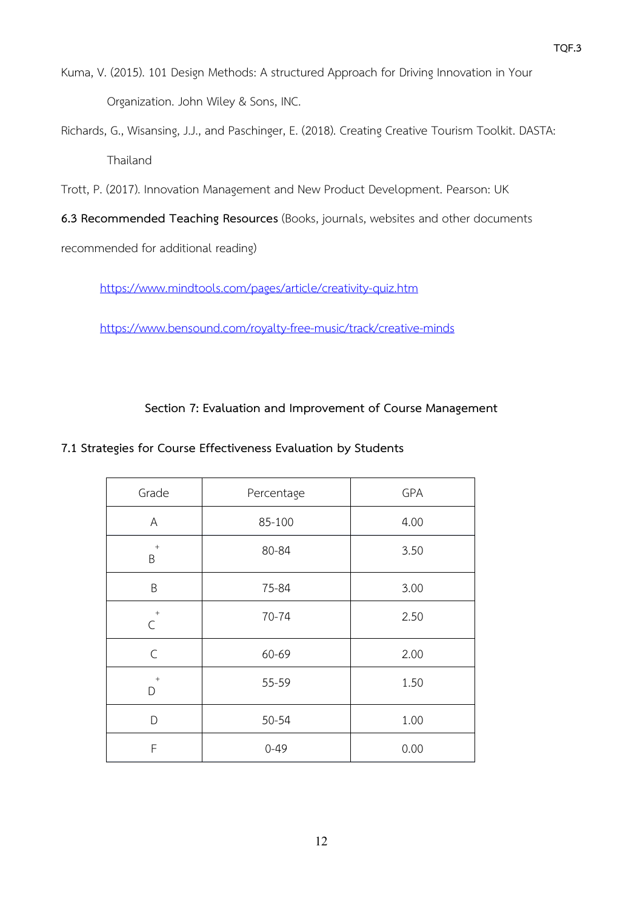- Kuma, V. (2015). 101 Design Methods: A structured Approach for Driving Innovation in Your Organization. John Wiley & Sons, INC.
- Richards, G., Wisansing, J.J., and Paschinger, E. (2018). Creating Creative Tourism Toolkit. DASTA: Thailand

Trott, P. (2017). Innovation Management and New Product Development. Pearson: UK

**6.3 Recommended Teaching Resources** (Books, journals, websites and other documents

recommended for additional reading)

<https://www.mindtools.com/pages/article/creativity-quiz.htm>

<https://www.bensound.com/royalty-free-music/track/creative-minds>

**Section 7: Evaluation and Improvement of Course Management**

## **7.1 Strategies for Course Effectiveness Evaluation by Students**

| Grade                | Percentage | GPA  |
|----------------------|------------|------|
| A                    | 85-100     | 4.00 |
| $^{\mathrm{+}}$<br>B | 80-84      | 3.50 |
| B                    | 75-84      | 3.00 |
| $+$<br>$\mathcal{C}$ | 70-74      | 2.50 |
| $\mathsf C$          | 60-69      | 2.00 |
| $^{\mathrm{+}}$<br>D | 55-59      | 1.50 |
| D                    | 50-54      | 1.00 |
| F                    | $0 - 49$   | 0.00 |